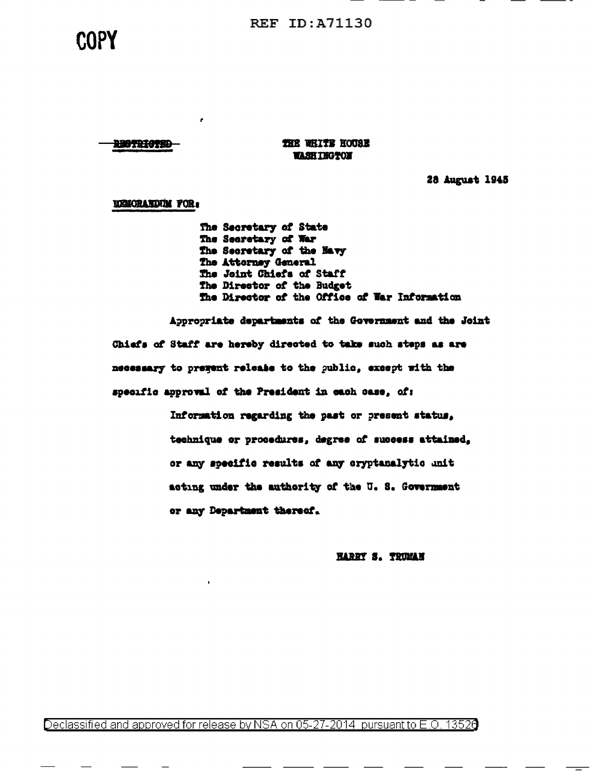**REF ID: A71130** 

# COPY

**THE WHITE HOUSE WASHINGTON** 

28 August 1945

**USICRATIVIM FOR:** 

110711475D

×

The Secretary of State The Secretary of War The Secretary of the Navy The Attorney General The Joint Chiefs of Staff The Director of the Budget The Director of the Office of War Information

Appropriate departments of the Government and the Joint Chiefs of Staff are hereby directed to take such steps as are necessary to pregent release to the public, except with the specific approval of the President in each case, of:

> Information regarding the past or present status, technique or procedures, degree of success attained. or any specific results of any cryptanalytic unit acting under the authority of the U.S. Government or any Department thereof.

> > **HARRY S. TRUMAN**

Declassified and approved for release by NSA on 05-27-2014 pursuant to E.O. 13526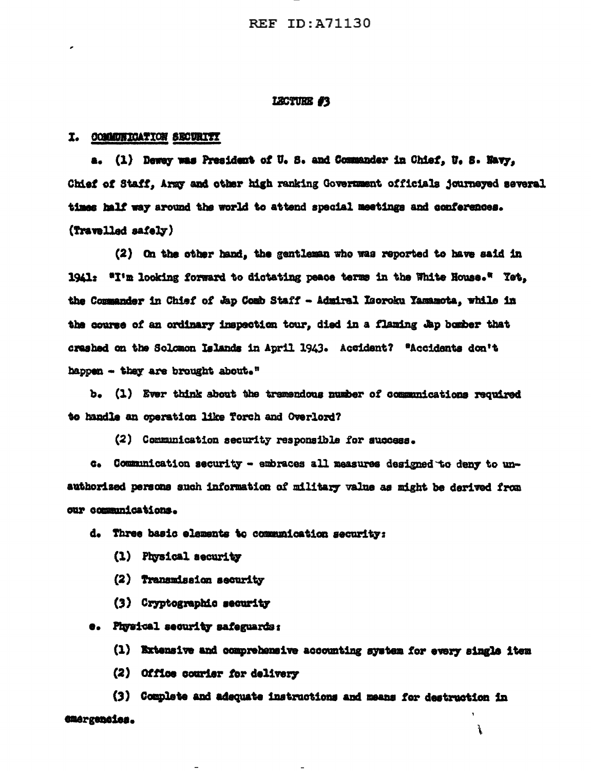#### LECTURE #3

### I. COMMUNICATION SECURITY

a. (1) Deway was President of U.S. and Commander in Chief, U.S. Navy, Chief of Staff, Army and other high ranking Government officials journeyed several times half way around the world to attend special meetings and conferences. (Travelled safely)

(2) On the other hand, the gentleman who was reported to have said in 1941: "I'm looking forward to dictating peace terms in the White House." Yet, the Commander in Chief of Jap Comb Staff - Admiral Laoroku Yamamota, while in the course of an ordinary inspection tour, died in a flaming Jap bomber that crashed on the Solomon Islands in April 1943. Accident? "Accidents don't happen - they are brought about."

b. (1) Ever think about the tramendous number of communications required to handle an operation like Torch and Overlord?

(2) Communication security responsible for success.

c. Communication security - embraces all measures designed to deny to unauthorized persons such information of military value as might be derived from our communications.

d. Three basic elements to communication security:

- (1) Physical security
- (2) Transmission security
- (3) Cryptographic security

e. Physical security safeguards:

(1) Extensive and comprehensive accounting system for every single item

(2) Office courier for delivery

(3) Complete and adequate instructions and means for destruction in emergencies. ì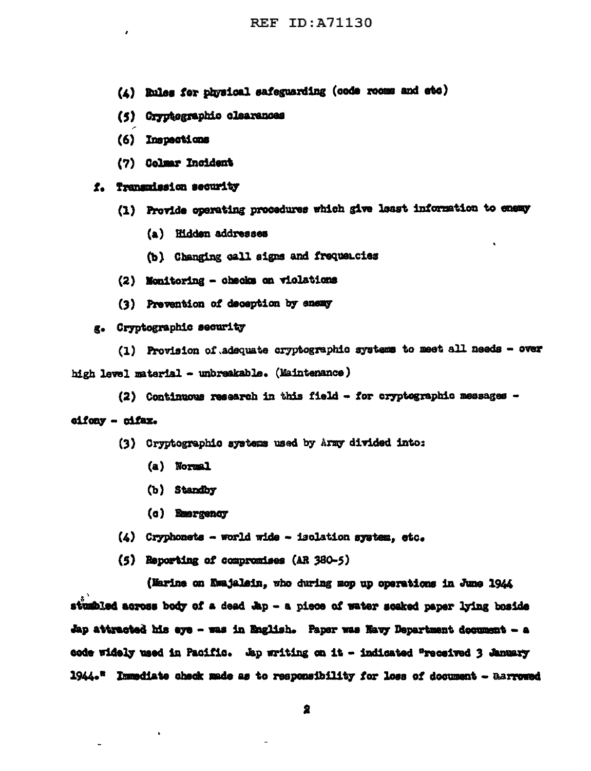- (4) Rules for physical safeguarding (code rooms and etc)
- (5) Cryptographic clearances
- (6) Inspections
- (7) Colmar Incident

# f. Transmission security

- (1) Provide operating procedures which give least information to enemy
	- (a) Hidden addresses
	- (b) Changing call signs and frequencies
- (2) Monitoring checks on violations
- (3) Prevention of deception by enemy

# g. Cryptographic security

(1) Provision of adequate cryptographic systems to meet all needs - over high level material - unbreakable. (Maintenance)

(2) Continuous research in this field - for cryptographic messages -

# eifony - cifax.

- (3) Cryptographic systems used by Army divided into:
	- (a) Normal
	- (b) Standby
	- (c) Emergency
- $(4)$  Cryphonets world wide isolation system, etc.
- (5) Reporting of compromises (AR 380-5)

(Marine on Ewajalein, who during mop up operations in June 1944 stumbled across body of a dead Jap - a piece of water soaked paper lying boside Jap attracted his eye - was in English. Paper was Havy Department document - a code widely used in Pacific. Ap writing on it - indicated "received 3 January 1944." Immediate check made as to responsibility for loss of document - Barrowed